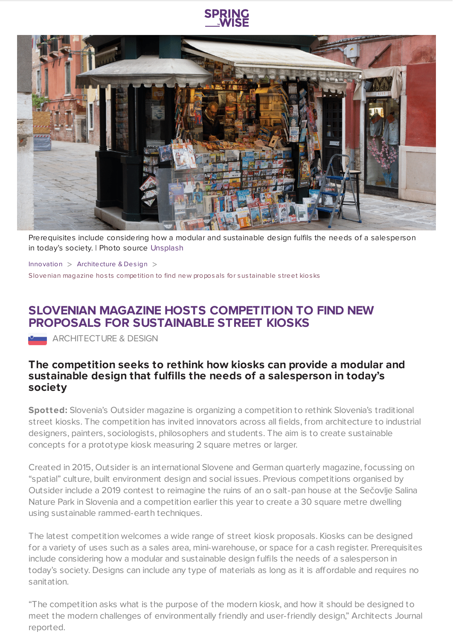

Prerequisites include considering how a modular and sustainable design fulfils the needs of a salesperson in today's society. | Photo source [Unsplash](https://www.springwise.com/innovation/architecture-design/Photo%20by%20Daniel%20Robert%20on%20Unsplash)

[Innovation](https://www.springwise.com/search?type=innovation)  $>$  [Architecture](https://www.springwise.com/search?type=innovation§or=architecture-design) & Design  $>$ Slovenian magazine hosts competition to find new proposals for sustainable street kiosks

## **SLOVENIAN MAGAZINE HOSTS COMPETITION TO FIND NEW PROPOSALS FOR SUSTAINABLE STREET KIOSKS**

**ARCHITECTURE & DESIGN** 

## **The competition seeks to rethink how kiosks can provide a modular and sustainable design that fulfills the needs of a salesperson in today's society**

**Spotted:** Slovenia's Outsider magazine is organizing a competition to rethink Slovenia's traditional street kiosks. The competition has invited innovators across all fields, from architecture to industrial designers, painters, sociologists, philosophers and students. The aim is to create sustainable concepts for a prototype kiosk measuring 2 square metres or larger.

Created in 2015, Outsider is an international Slovene and German quarterly magazine, focussing on "spatial" culture, built environment design and social issues. Previous competitions organised by Outsider include a 2019 contest to reimagine the ruins of an o salt-pan house at the Sečovlje Salina Nature Park in Slovenia and a competition earlier this year to create a 30 square metre dwelling using sustainable rammed-earth techniques.

The latest competition welcomes a wide range of street kiosk proposals. Kiosks can be designed for a variety of uses such as a sales area, mini-warehouse, or space for a cash register. Prerequisites include considering how a modular and sustainable design fulfils the needs of a salesperson in today's society. Designs can include any type of materials as long as it is affordable and requires no sanitation.

"The competition asks what is the purpose of the modern kiosk, and how it should be designed to meet the modern challenges of environmentally friendly and user-friendly design," Architects Journal reported.